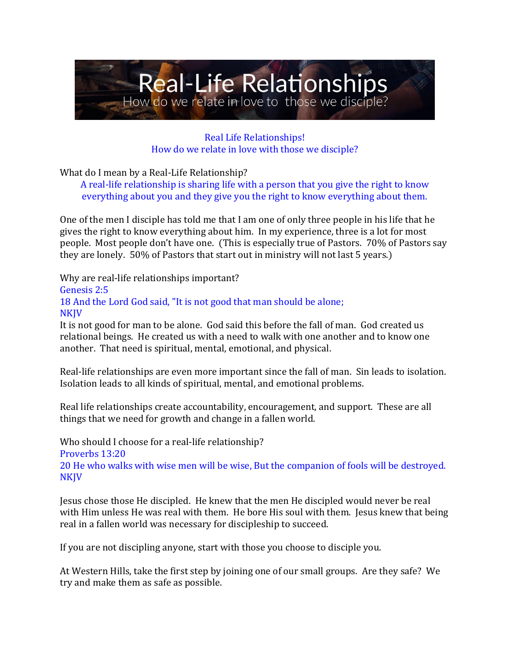

Real Life Relationships! How do we relate in love with those we disciple?

What do I mean by a Real-Life Relationship?

A real-life relationship is sharing life with a person that you give the right to know everything about you and they give you the right to know everything about them.

One of the men I disciple has told me that I am one of only three people in his life that he gives the right to know everything about him. In my experience, three is a lot for most people. Most people don't have one. (This is especially true of Pastors. 70% of Pastors say they are lonely. 50% of Pastors that start out in ministry will not last 5 years.)

Why are real-life relationships important? Genesis 2:5 18 And the Lord God said, "It is not good that man should be alone; **NKIV** 

It is not good for man to be alone. God said this before the fall of man. God created us relational beings. He created us with a need to walk with one another and to know one another. That need is spiritual, mental, emotional, and physical.

Real-life relationships are even more important since the fall of man. Sin leads to isolation. Isolation leads to all kinds of spiritual, mental, and emotional problems.

Real life relationships create accountability, encouragement, and support. These are all things that we need for growth and change in a fallen world.

Who should I choose for a real-life relationship? Proverbs 13:20 20 He who walks with wise men will be wise, But the companion of fools will be destroyed. **NKJV** 

Jesus chose those He discipled. He knew that the men He discipled would never be real with Him unless He was real with them. He bore His soul with them. Jesus knew that being real in a fallen world was necessary for discipleship to succeed.

If you are not discipling anyone, start with those you choose to disciple you.

At Western Hills, take the first step by joining one of our small groups. Are they safe? We try and make them as safe as possible.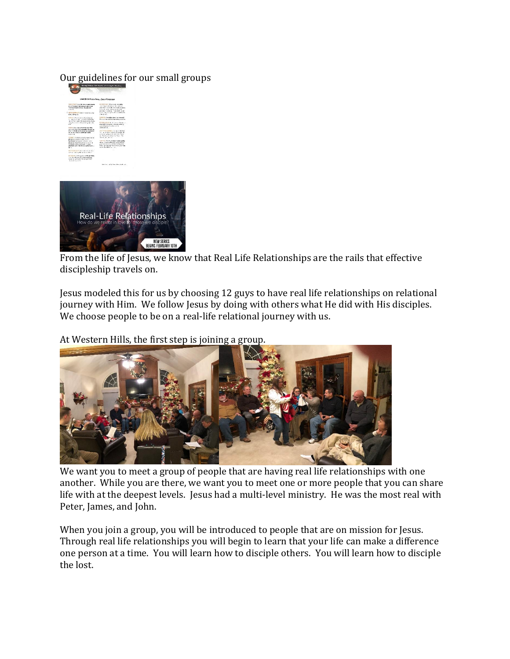#### Our guidelines for our small groups



From the life of Jesus, we know that Real Life Relationships are the rails that effective discipleship travels on.

Jesus modeled this for us by choosing 12 guys to have real life relationships on relational journey with Him. We follow Jesus by doing with others what He did with His disciples. We choose people to be on a real-life relational journey with us.

At Western Hills, the first step is joining a group.



We want you to meet a group of people that are having real life relationships with one another. While you are there, we want you to meet one or more people that you can share life with at the deepest levels. Jesus had a multi-level ministry. He was the most real with Peter, James, and John.

When you join a group, you will be introduced to people that are on mission for Jesus. Through real life relationships you will begin to learn that your life can make a difference one person at a time. You will learn how to disciple others. You will learn how to disciple the lost.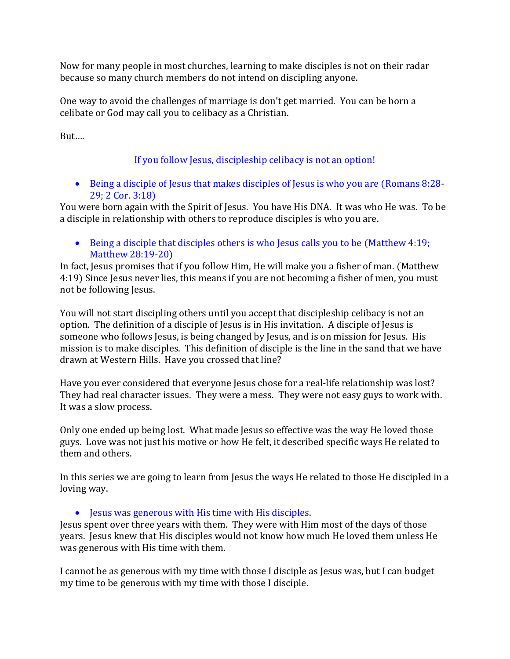Now for many people in most churches, learning to make disciples is not on their radar because so many church members do not intend on discipling anyone.

One way to avoid the challenges of marriage is don't get married. You can be born a celibate or God may call you to celibacy as a Christian.

But….

# If you follow Jesus, discipleship celibacy is not an option!

• Being a disciple of Jesus that makes disciples of Jesus is who you are (Romans 8:28- 29; 2 Cor. 3:18)

You were born again with the Spirit of Jesus. You have His DNA. It was who He was. To be a disciple in relationship with others to reproduce disciples is who you are.

• Being a disciple that disciples others is who Jesus calls you to be (Matthew 4:19; Matthew 28:19-20)

In fact, Jesus promises that if you follow Him, He will make you a fisher of man. (Matthew 4:19) Since Jesus never lies, this means if you are not becoming a fisher of men, you must not be following Jesus.

You will not start discipling others until you accept that discipleship celibacy is not an option. The definition of a disciple of Jesus is in His invitation. A disciple of Jesus is someone who follows Jesus, is being changed by Jesus, and is on mission for Jesus. His mission is to make disciples. This definition of disciple is the line in the sand that we have drawn at Western Hills. Have you crossed that line?

Have you ever considered that everyone Jesus chose for a real-life relationship was lost? They had real character issues. They were a mess. They were not easy guys to work with. It was a slow process.

Only one ended up being lost. What made Jesus so effective was the way He loved those guys. Love was not just his motive or how He felt, it described specific ways He related to them and others.

In this series we are going to learn from Jesus the ways He related to those He discipled in a loving way.

• Jesus was generous with His time with His disciples.

Jesus spent over three years with them. They were with Him most of the days of those years. Jesus knew that His disciples would not know how much He loved them unless He was generous with His time with them.

I cannot be as generous with my time with those I disciple as Jesus was, but I can budget my time to be generous with my time with those I disciple.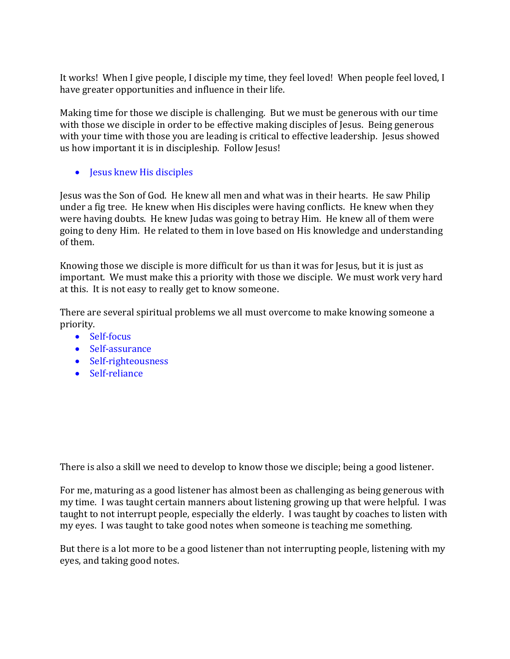It works! When I give people, I disciple my time, they feel loved! When people feel loved, I have greater opportunities and influence in their life.

Making time for those we disciple is challenging. But we must be generous with our time with those we disciple in order to be effective making disciples of Jesus. Being generous with your time with those you are leading is critical to effective leadership. Jesus showed us how important it is in discipleship. Follow Jesus!

• Jesus knew His disciples

Jesus was the Son of God. He knew all men and what was in their hearts. He saw Philip under a fig tree. He knew when His disciples were having conflicts. He knew when they were having doubts. He knew Judas was going to betray Him. He knew all of them were going to deny Him. He related to them in love based on His knowledge and understanding of them.

Knowing those we disciple is more difficult for us than it was for Jesus, but it is just as important. We must make this a priority with those we disciple. We must work very hard at this. It is not easy to really get to know someone.

There are several spiritual problems we all must overcome to make knowing someone a priority.

- Self-focus
- Self-assurance
- Self-righteousness
- Self-reliance

There is also a skill we need to develop to know those we disciple; being a good listener.

For me, maturing as a good listener has almost been as challenging as being generous with my time. I was taught certain manners about listening growing up that were helpful. I was taught to not interrupt people, especially the elderly. I was taught by coaches to listen with my eyes. I was taught to take good notes when someone is teaching me something.

But there is a lot more to be a good listener than not interrupting people, listening with my eyes, and taking good notes.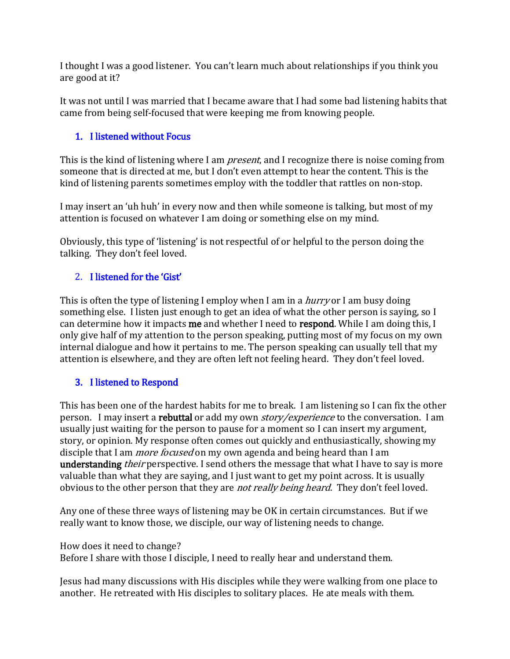I thought I was a good listener. You can't learn much about relationships if you think you are good at it?

It was not until I was married that I became aware that I had some bad listening habits that came from being self-focused that were keeping me from knowing people.

## 1. I listened without Focus

This is the kind of listening where I am *present*, and I recognize there is noise coming from someone that is directed at me, but I don't even attempt to hear the content. This is the kind of listening parents sometimes employ with the toddler that rattles on non-stop.

I may insert an 'uh huh' in every now and then while someone is talking, but most of my attention is focused on whatever I am doing or something else on my mind.

Obviously, this type of 'listening' is not respectful of or helpful to the person doing the talking. They don't feel loved.

## 2. I listened for the 'Gist'

This is often the type of listening I employ when I am in a *hurry* or I am busy doing something else. I listen just enough to get an idea of what the other person is saying, so I can determine how it impacts me and whether I need to respond. While I am doing this, I only give half of my attention to the person speaking, putting most of my focus on my own internal dialogue and how it pertains to me. The person speaking can usually tell that my attention is elsewhere, and they are often left not feeling heard. They don't feel loved.

#### 3. I listened to Respond

This has been one of the hardest habits for me to break. I am listening so I can fix the other person. I may insert a **rebuttal** or add my own *story/experience* to the conversation. I am usually just waiting for the person to pause for a moment so I can insert my argument, story, or opinion. My response often comes out quickly and enthusiastically, showing my disciple that I am *more focused* on my own agenda and being heard than I am understanding *their* perspective. I send others the message that what I have to say is more valuable than what they are saying, and I just want to get my point across. It is usually obvious to the other person that they are *not really being heard*. They don't feel loved.

Any one of these three ways of listening may be OK in certain circumstances. But if we really want to know those, we disciple, our way of listening needs to change.

#### How does it need to change?

Before I share with those I disciple, I need to really hear and understand them.

Jesus had many discussions with His disciples while they were walking from one place to another. He retreated with His disciples to solitary places. He ate meals with them.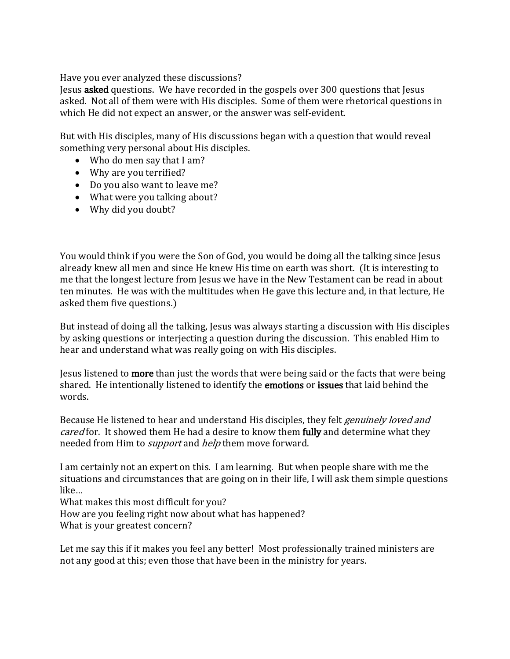Have you ever analyzed these discussions?

Jesus asked questions. We have recorded in the gospels over 300 questions that Jesus asked. Not all of them were with His disciples. Some of them were rhetorical questions in which He did not expect an answer, or the answer was self-evident.

But with His disciples, many of His discussions began with a question that would reveal something very personal about His disciples.

- Who do men say that I am?
- Why are you terrified?
- Do you also want to leave me?
- What were you talking about?
- Why did you doubt?

You would think if you were the Son of God, you would be doing all the talking since Jesus already knew all men and since He knew His time on earth was short. (It is interesting to me that the longest lecture from Jesus we have in the New Testament can be read in about ten minutes. He was with the multitudes when He gave this lecture and, in that lecture, He asked them five questions.)

But instead of doing all the talking, Jesus was always starting a discussion with His disciples by asking questions or interjecting a question during the discussion. This enabled Him to hear and understand what was really going on with His disciples.

Jesus listened to more than just the words that were being said or the facts that were being shared. He intentionally listened to identify the emotions or issues that laid behind the words.

Because He listened to hear and understand His disciples, they felt *genuinely loved and* cared for. It showed them He had a desire to know them fully and determine what they needed from Him to *support* and *help* them move forward.

I am certainly not an expert on this. I am learning. But when people share with me the situations and circumstances that are going on in their life, I will ask them simple questions like…

What makes this most difficult for you?

How are you feeling right now about what has happened?

What is your greatest concern?

Let me say this if it makes you feel any better! Most professionally trained ministers are not any good at this; even those that have been in the ministry for years.